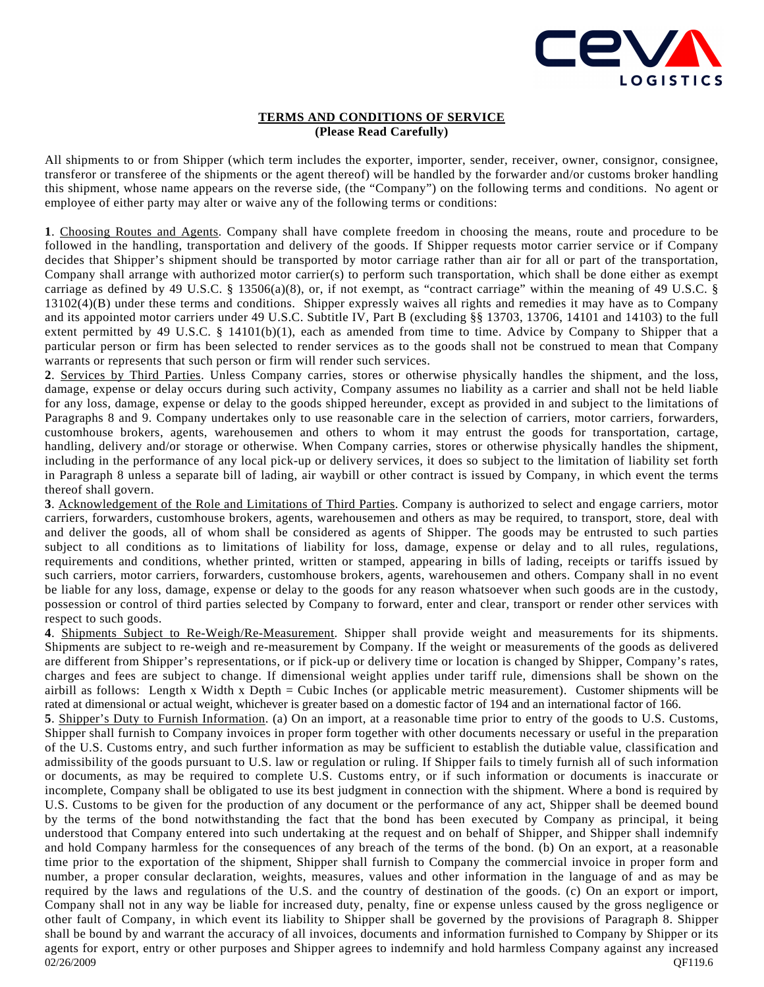

## **TERMS AND CONDITIONS OF SERVICE (Please Read Carefully)**

All shipments to or from Shipper (which term includes the exporter, importer, sender, receiver, owner, consignor, consignee, transferor or transferee of the shipments or the agent thereof) will be handled by the forwarder and/or customs broker handling this shipment, whose name appears on the reverse side, (the "Company") on the following terms and conditions. No agent or employee of either party may alter or waive any of the following terms or conditions:

**1**. Choosing Routes and Agents. Company shall have complete freedom in choosing the means, route and procedure to be followed in the handling, transportation and delivery of the goods. If Shipper requests motor carrier service or if Company decides that Shipper's shipment should be transported by motor carriage rather than air for all or part of the transportation, Company shall arrange with authorized motor carrier(s) to perform such transportation, which shall be done either as exempt carriage as defined by 49 U.S.C. § 13506(a)(8), or, if not exempt, as "contract carriage" within the meaning of 49 U.S.C. § 13102(4)(B) under these terms and conditions. Shipper expressly waives all rights and remedies it may have as to Company and its appointed motor carriers under 49 U.S.C. Subtitle IV, Part B (excluding §§ 13703, 13706, 14101 and 14103) to the full extent permitted by 49 U.S.C. § 14101(b)(1), each as amended from time to time. Advice by Company to Shipper that a particular person or firm has been selected to render services as to the goods shall not be construed to mean that Company warrants or represents that such person or firm will render such services.

**2**. Services by Third Parties. Unless Company carries, stores or otherwise physically handles the shipment, and the loss, damage, expense or delay occurs during such activity, Company assumes no liability as a carrier and shall not be held liable for any loss, damage, expense or delay to the goods shipped hereunder, except as provided in and subject to the limitations of Paragraphs 8 and 9. Company undertakes only to use reasonable care in the selection of carriers, motor carriers, forwarders, customhouse brokers, agents, warehousemen and others to whom it may entrust the goods for transportation, cartage, handling, delivery and/or storage or otherwise. When Company carries, stores or otherwise physically handles the shipment, including in the performance of any local pick-up or delivery services, it does so subject to the limitation of liability set forth in Paragraph 8 unless a separate bill of lading, air waybill or other contract is issued by Company, in which event the terms thereof shall govern.

**3**. Acknowledgement of the Role and Limitations of Third Parties. Company is authorized to select and engage carriers, motor carriers, forwarders, customhouse brokers, agents, warehousemen and others as may be required, to transport, store, deal with and deliver the goods, all of whom shall be considered as agents of Shipper. The goods may be entrusted to such parties subject to all conditions as to limitations of liability for loss, damage, expense or delay and to all rules, regulations, requirements and conditions, whether printed, written or stamped, appearing in bills of lading, receipts or tariffs issued by such carriers, motor carriers, forwarders, customhouse brokers, agents, warehousemen and others. Company shall in no event be liable for any loss, damage, expense or delay to the goods for any reason whatsoever when such goods are in the custody, possession or control of third parties selected by Company to forward, enter and clear, transport or render other services with respect to such goods.

**4**. Shipments Subject to Re-Weigh/Re-Measurement. Shipper shall provide weight and measurements for its shipments. Shipments are subject to re-weigh and re-measurement by Company. If the weight or measurements of the goods as delivered are different from Shipper's representations, or if pick-up or delivery time or location is changed by Shipper, Company's rates, charges and fees are subject to change. If dimensional weight applies under tariff rule, dimensions shall be shown on the airbill as follows: Length x Width x Depth = Cubic Inches (or applicable metric measurement). Customer shipments will be rated at dimensional or actual weight, whichever is greater based on a domestic factor of 194 and an international factor of 166.

 $QF119.6$   $QF119.6$ **5**. Shipper's Duty to Furnish Information. (a) On an import, at a reasonable time prior to entry of the goods to U.S. Customs, Shipper shall furnish to Company invoices in proper form together with other documents necessary or useful in the preparation of the U.S. Customs entry, and such further information as may be sufficient to establish the dutiable value, classification and admissibility of the goods pursuant to U.S. law or regulation or ruling. If Shipper fails to timely furnish all of such information or documents, as may be required to complete U.S. Customs entry, or if such information or documents is inaccurate or incomplete, Company shall be obligated to use its best judgment in connection with the shipment. Where a bond is required by U.S. Customs to be given for the production of any document or the performance of any act, Shipper shall be deemed bound by the terms of the bond notwithstanding the fact that the bond has been executed by Company as principal, it being understood that Company entered into such undertaking at the request and on behalf of Shipper, and Shipper shall indemnify and hold Company harmless for the consequences of any breach of the terms of the bond. (b) On an export, at a reasonable time prior to the exportation of the shipment, Shipper shall furnish to Company the commercial invoice in proper form and number, a proper consular declaration, weights, measures, values and other information in the language of and as may be required by the laws and regulations of the U.S. and the country of destination of the goods. (c) On an export or import, Company shall not in any way be liable for increased duty, penalty, fine or expense unless caused by the gross negligence or other fault of Company, in which event its liability to Shipper shall be governed by the provisions of Paragraph 8. Shipper shall be bound by and warrant the accuracy of all invoices, documents and information furnished to Company by Shipper or its agents for export, entry or other purposes and Shipper agrees to indemnify and hold harmless Company against any increased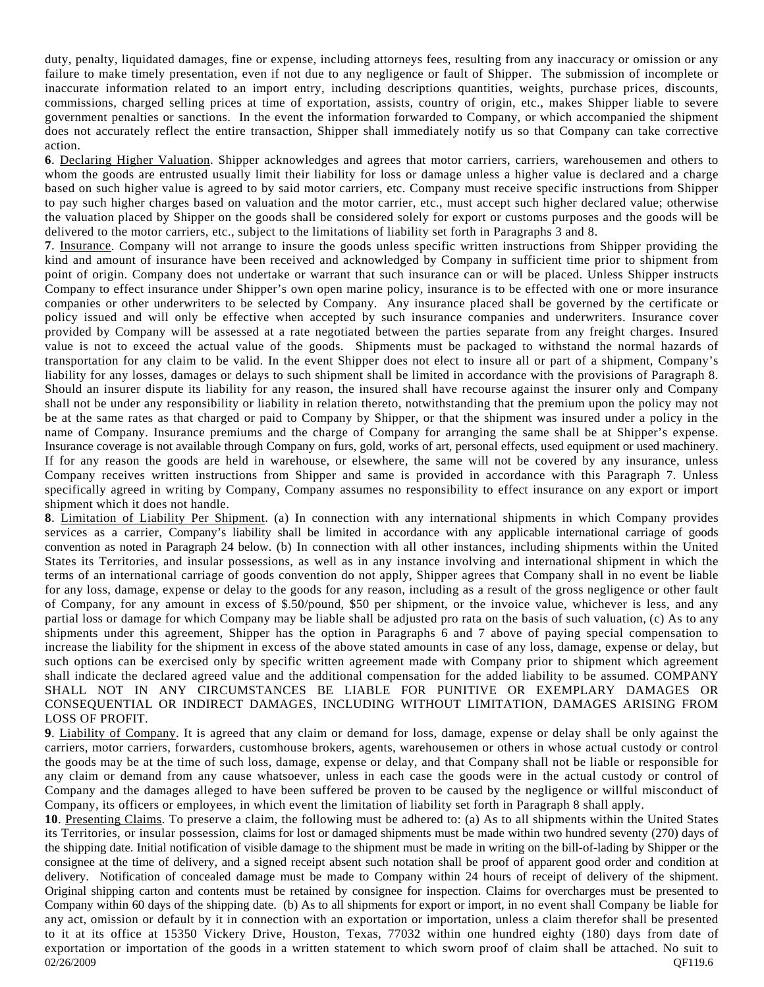duty, penalty, liquidated damages, fine or expense, including attorneys fees, resulting from any inaccuracy or omission or any failure to make timely presentation, even if not due to any negligence or fault of Shipper. The submission of incomplete or inaccurate information related to an import entry, including descriptions quantities, weights, purchase prices, discounts, commissions, charged selling prices at time of exportation, assists, country of origin, etc., makes Shipper liable to severe government penalties or sanctions. In the event the information forwarded to Company, or which accompanied the shipment does not accurately reflect the entire transaction, Shipper shall immediately notify us so that Company can take corrective action.

**6**. Declaring Higher Valuation. Shipper acknowledges and agrees that motor carriers, carriers, warehousemen and others to whom the goods are entrusted usually limit their liability for loss or damage unless a higher value is declared and a charge based on such higher value is agreed to by said motor carriers, etc. Company must receive specific instructions from Shipper to pay such higher charges based on valuation and the motor carrier, etc., must accept such higher declared value; otherwise the valuation placed by Shipper on the goods shall be considered solely for export or customs purposes and the goods will be delivered to the motor carriers, etc., subject to the limitations of liability set forth in Paragraphs 3 and 8.

**7**. Insurance. Company will not arrange to insure the goods unless specific written instructions from Shipper providing the kind and amount of insurance have been received and acknowledged by Company in sufficient time prior to shipment from point of origin. Company does not undertake or warrant that such insurance can or will be placed. Unless Shipper instructs Company to effect insurance under Shipper's own open marine policy, insurance is to be effected with one or more insurance companies or other underwriters to be selected by Company. Any insurance placed shall be governed by the certificate or policy issued and will only be effective when accepted by such insurance companies and underwriters. Insurance cover provided by Company will be assessed at a rate negotiated between the parties separate from any freight charges. Insured value is not to exceed the actual value of the goods. Shipments must be packaged to withstand the normal hazards of transportation for any claim to be valid. In the event Shipper does not elect to insure all or part of a shipment, Company's liability for any losses, damages or delays to such shipment shall be limited in accordance with the provisions of Paragraph 8. Should an insurer dispute its liability for any reason, the insured shall have recourse against the insurer only and Company shall not be under any responsibility or liability in relation thereto, notwithstanding that the premium upon the policy may not be at the same rates as that charged or paid to Company by Shipper, or that the shipment was insured under a policy in the name of Company. Insurance premiums and the charge of Company for arranging the same shall be at Shipper's expense. Insurance coverage is not available through Company on furs, gold, works of art, personal effects, used equipment or used machinery. If for any reason the goods are held in warehouse, or elsewhere, the same will not be covered by any insurance, unless Company receives written instructions from Shipper and same is provided in accordance with this Paragraph 7. Unless specifically agreed in writing by Company, Company assumes no responsibility to effect insurance on any export or import shipment which it does not handle.

**8**. Limitation of Liability Per Shipment. (a) In connection with any international shipments in which Company provides services as a carrier, Company's liability shall be limited in accordance with any applicable international carriage of goods convention as noted in Paragraph 24 below. (b) In connection with all other instances, including shipments within the United States its Territories, and insular possessions, as well as in any instance involving and international shipment in which the terms of an international carriage of goods convention do not apply, Shipper agrees that Company shall in no event be liable for any loss, damage, expense or delay to the goods for any reason, including as a result of the gross negligence or other fault of Company, for any amount in excess of \$.50/pound, \$50 per shipment, or the invoice value, whichever is less, and any partial loss or damage for which Company may be liable shall be adjusted pro rata on the basis of such valuation, (c) As to any shipments under this agreement, Shipper has the option in Paragraphs 6 and 7 above of paying special compensation to increase the liability for the shipment in excess of the above stated amounts in case of any loss, damage, expense or delay, but such options can be exercised only by specific written agreement made with Company prior to shipment which agreement shall indicate the declared agreed value and the additional compensation for the added liability to be assumed. COMPANY SHALL NOT IN ANY CIRCUMSTANCES BE LIABLE FOR PUNITIVE OR EXEMPLARY DAMAGES OR CONSEQUENTIAL OR INDIRECT DAMAGES, INCLUDING WITHOUT LIMITATION, DAMAGES ARISING FROM LOSS OF PROFIT.

**9**. Liability of Company. It is agreed that any claim or demand for loss, damage, expense or delay shall be only against the carriers, motor carriers, forwarders, customhouse brokers, agents, warehousemen or others in whose actual custody or control the goods may be at the time of such loss, damage, expense or delay, and that Company shall not be liable or responsible for any claim or demand from any cause whatsoever, unless in each case the goods were in the actual custody or control of Company and the damages alleged to have been suffered be proven to be caused by the negligence or willful misconduct of Company, its officers or employees, in which event the limitation of liability set forth in Paragraph 8 shall apply.

 $QF119.6$   $QF119.6$ **10**. Presenting Claims. To preserve a claim, the following must be adhered to: (a) As to all shipments within the United States its Territories, or insular possession, claims for lost or damaged shipments must be made within two hundred seventy (270) days of the shipping date. Initial notification of visible damage to the shipment must be made in writing on the bill-of-lading by Shipper or the consignee at the time of delivery, and a signed receipt absent such notation shall be proof of apparent good order and condition at delivery. Notification of concealed damage must be made to Company within 24 hours of receipt of delivery of the shipment. Original shipping carton and contents must be retained by consignee for inspection. Claims for overcharges must be presented to Company within 60 days of the shipping date. (b) As to all shipments for export or import, in no event shall Company be liable for any act, omission or default by it in connection with an exportation or importation, unless a claim therefor shall be presented to it at its office at 15350 Vickery Drive, Houston, Texas, 77032 within one hundred eighty (180) days from date of exportation or importation of the goods in a written statement to which sworn proof of claim shall be attached. No suit to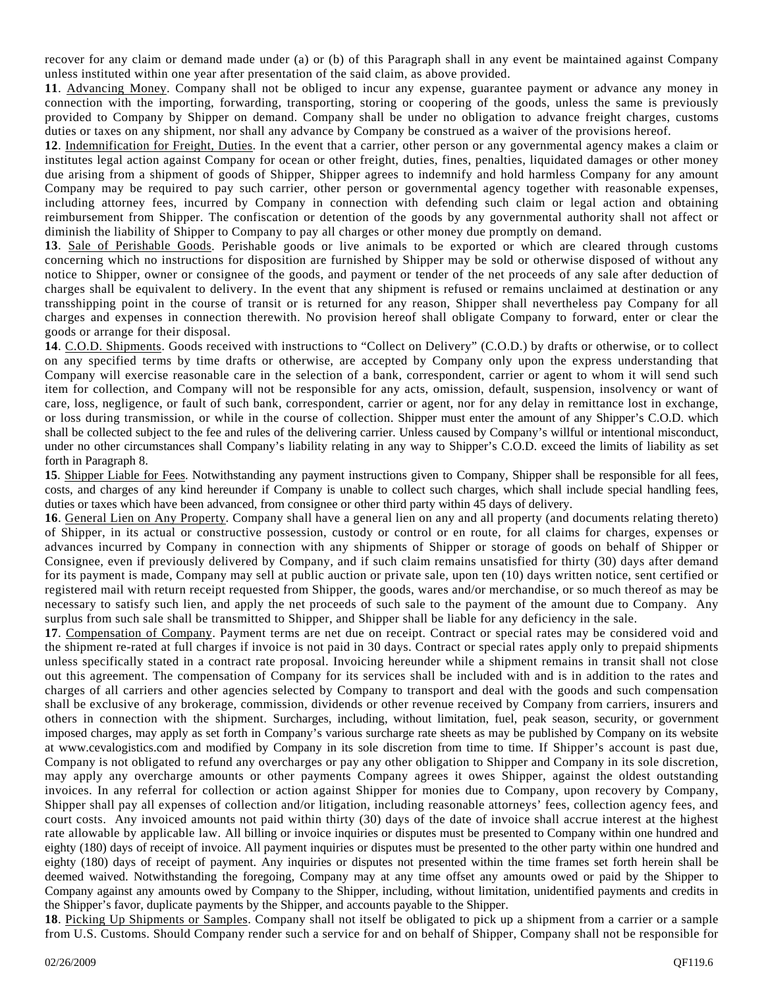recover for any claim or demand made under (a) or (b) of this Paragraph shall in any event be maintained against Company unless instituted within one year after presentation of the said claim, as above provided.

**11**. Advancing Money. Company shall not be obliged to incur any expense, guarantee payment or advance any money in connection with the importing, forwarding, transporting, storing or coopering of the goods, unless the same is previously provided to Company by Shipper on demand. Company shall be under no obligation to advance freight charges, customs duties or taxes on any shipment, nor shall any advance by Company be construed as a waiver of the provisions hereof.

**12**. Indemnification for Freight, Duties. In the event that a carrier, other person or any governmental agency makes a claim or institutes legal action against Company for ocean or other freight, duties, fines, penalties, liquidated damages or other money due arising from a shipment of goods of Shipper, Shipper agrees to indemnify and hold harmless Company for any amount Company may be required to pay such carrier, other person or governmental agency together with reasonable expenses, including attorney fees, incurred by Company in connection with defending such claim or legal action and obtaining reimbursement from Shipper. The confiscation or detention of the goods by any governmental authority shall not affect or diminish the liability of Shipper to Company to pay all charges or other money due promptly on demand.

**13**. Sale of Perishable Goods. Perishable goods or live animals to be exported or which are cleared through customs concerning which no instructions for disposition are furnished by Shipper may be sold or otherwise disposed of without any notice to Shipper, owner or consignee of the goods, and payment or tender of the net proceeds of any sale after deduction of charges shall be equivalent to delivery. In the event that any shipment is refused or remains unclaimed at destination or any transshipping point in the course of transit or is returned for any reason, Shipper shall nevertheless pay Company for all charges and expenses in connection therewith. No provision hereof shall obligate Company to forward, enter or clear the goods or arrange for their disposal.

**14**. C.O.D. Shipments. Goods received with instructions to "Collect on Delivery" (C.O.D.) by drafts or otherwise, or to collect on any specified terms by time drafts or otherwise, are accepted by Company only upon the express understanding that Company will exercise reasonable care in the selection of a bank, correspondent, carrier or agent to whom it will send such item for collection, and Company will not be responsible for any acts, omission, default, suspension, insolvency or want of care, loss, negligence, or fault of such bank, correspondent, carrier or agent, nor for any delay in remittance lost in exchange, or loss during transmission, or while in the course of collection. Shipper must enter the amount of any Shipper's C.O.D. which shall be collected subject to the fee and rules of the delivering carrier. Unless caused by Company's willful or intentional misconduct, under no other circumstances shall Company's liability relating in any way to Shipper's C.O.D. exceed the limits of liability as set forth in Paragraph 8.

15. Shipper Liable for Fees. Notwithstanding any payment instructions given to Company, Shipper shall be responsible for all fees, costs, and charges of any kind hereunder if Company is unable to collect such charges, which shall include special handling fees, duties or taxes which have been advanced, from consignee or other third party within 45 days of delivery.

**16**. General Lien on Any Property. Company shall have a general lien on any and all property (and documents relating thereto) of Shipper, in its actual or constructive possession, custody or control or en route, for all claims for charges, expenses or advances incurred by Company in connection with any shipments of Shipper or storage of goods on behalf of Shipper or Consignee, even if previously delivered by Company, and if such claim remains unsatisfied for thirty (30) days after demand for its payment is made, Company may sell at public auction or private sale, upon ten (10) days written notice, sent certified or registered mail with return receipt requested from Shipper, the goods, wares and/or merchandise, or so much thereof as may be necessary to satisfy such lien, and apply the net proceeds of such sale to the payment of the amount due to Company. Any surplus from such sale shall be transmitted to Shipper, and Shipper shall be liable for any deficiency in the sale.

**17**. Compensation of Company. Payment terms are net due on receipt. Contract or special rates may be considered void and the shipment re-rated at full charges if invoice is not paid in 30 days. Contract or special rates apply only to prepaid shipments unless specifically stated in a contract rate proposal. Invoicing hereunder while a shipment remains in transit shall not close out this agreement. The compensation of Company for its services shall be included with and is in addition to the rates and charges of all carriers and other agencies selected by Company to transport and deal with the goods and such compensation shall be exclusive of any brokerage, commission, dividends or other revenue received by Company from carriers, insurers and others in connection with the shipment. Surcharges, including, without limitation, fuel, peak season, security, or government imposed charges, may apply as set forth in Company's various surcharge rate sheets as may be published by Company on its website at www.cevalogistics.com and modified by Company in its sole discretion from time to time. If Shipper's account is past due, Company is not obligated to refund any overcharges or pay any other obligation to Shipper and Company in its sole discretion, may apply any overcharge amounts or other payments Company agrees it owes Shipper, against the oldest outstanding invoices. In any referral for collection or action against Shipper for monies due to Company, upon recovery by Company, Shipper shall pay all expenses of collection and/or litigation, including reasonable attorneys' fees, collection agency fees, and court costs. Any invoiced amounts not paid within thirty (30) days of the date of invoice shall accrue interest at the highest rate allowable by applicable law. All billing or invoice inquiries or disputes must be presented to Company within one hundred and eighty (180) days of receipt of invoice. All payment inquiries or disputes must be presented to the other party within one hundred and eighty (180) days of receipt of payment. Any inquiries or disputes not presented within the time frames set forth herein shall be deemed waived. Notwithstanding the foregoing, Company may at any time offset any amounts owed or paid by the Shipper to Company against any amounts owed by Company to the Shipper, including, without limitation, unidentified payments and credits in the Shipper's favor, duplicate payments by the Shipper, and accounts payable to the Shipper.

**18**. Picking Up Shipments or Samples. Company shall not itself be obligated to pick up a shipment from a carrier or a sample from U.S. Customs. Should Company render such a service for and on behalf of Shipper, Company shall not be responsible for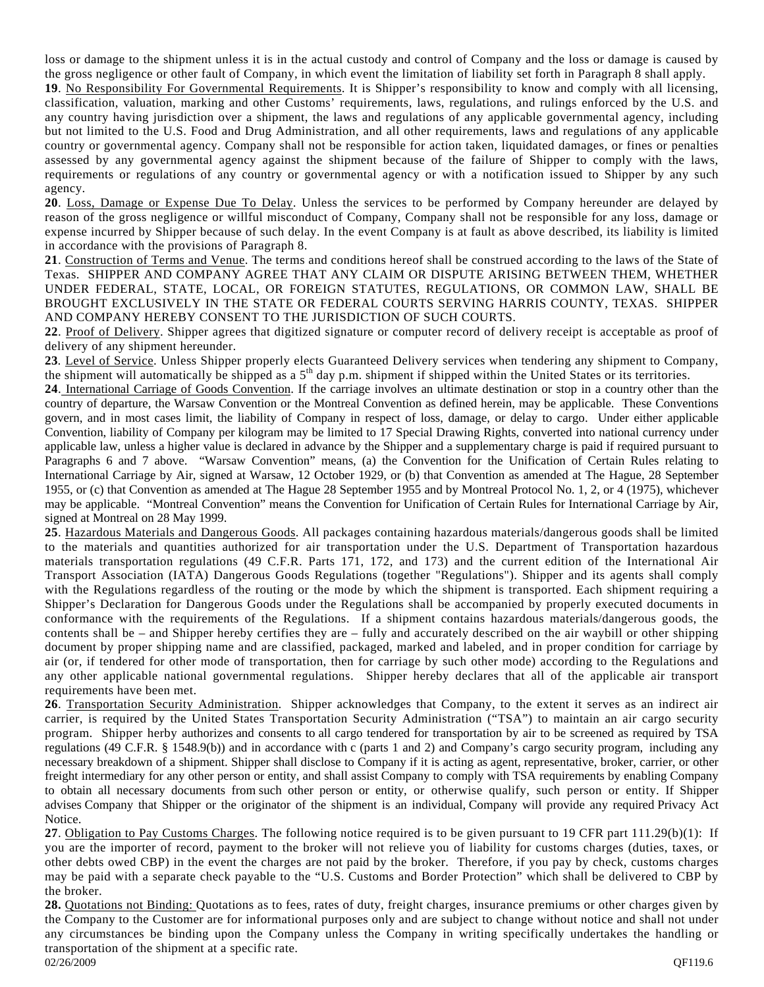loss or damage to the shipment unless it is in the actual custody and control of Company and the loss or damage is caused by the gross negligence or other fault of Company, in which event the limitation of liability set forth in Paragraph 8 shall apply.

**19**. No Responsibility For Governmental Requirements. It is Shipper's responsibility to know and comply with all licensing, classification, valuation, marking and other Customs' requirements, laws, regulations, and rulings enforced by the U.S. and any country having jurisdiction over a shipment, the laws and regulations of any applicable governmental agency, including but not limited to the U.S. Food and Drug Administration, and all other requirements, laws and regulations of any applicable country or governmental agency. Company shall not be responsible for action taken, liquidated damages, or fines or penalties assessed by any governmental agency against the shipment because of the failure of Shipper to comply with the laws, requirements or regulations of any country or governmental agency or with a notification issued to Shipper by any such agency.

**20**. Loss, Damage or Expense Due To Delay. Unless the services to be performed by Company hereunder are delayed by reason of the gross negligence or willful misconduct of Company, Company shall not be responsible for any loss, damage or expense incurred by Shipper because of such delay. In the event Company is at fault as above described, its liability is limited in accordance with the provisions of Paragraph 8.

**21**. Construction of Terms and Venue. The terms and conditions hereof shall be construed according to the laws of the State of Texas. SHIPPER AND COMPANY AGREE THAT ANY CLAIM OR DISPUTE ARISING BETWEEN THEM, WHETHER UNDER FEDERAL, STATE, LOCAL, OR FOREIGN STATUTES, REGULATIONS, OR COMMON LAW, SHALL BE BROUGHT EXCLUSIVELY IN THE STATE OR FEDERAL COURTS SERVING HARRIS COUNTY, TEXAS. SHIPPER AND COMPANY HEREBY CONSENT TO THE JURISDICTION OF SUCH COURTS.

**22**. Proof of Delivery. Shipper agrees that digitized signature or computer record of delivery receipt is acceptable as proof of delivery of any shipment hereunder.

**23***.* Level of Service. Unless Shipper properly elects Guaranteed Delivery services when tendering any shipment to Company, the shipment will automatically be shipped as a 5<sup>th</sup> day p.m. shipment if shipped within the United States or its territories.

**24**. International Carriage of Goods Convention. If the carriage involves an ultimate destination or stop in a country other than the country of departure, the Warsaw Convention or the Montreal Convention as defined herein, may be applicable. These Conventions govern, and in most cases limit, the liability of Company in respect of loss, damage, or delay to cargo. Under either applicable Convention, liability of Company per kilogram may be limited to 17 Special Drawing Rights, converted into national currency under applicable law, unless a higher value is declared in advance by the Shipper and a supplementary charge is paid if required pursuant to Paragraphs 6 and 7 above. "Warsaw Convention" means, (a) the Convention for the Unification of Certain Rules relating to International Carriage by Air, signed at Warsaw, 12 October 1929, or (b) that Convention as amended at The Hague, 28 September 1955, or (c) that Convention as amended at The Hague 28 September 1955 and by Montreal Protocol No. 1, 2, or 4 (1975), whichever may be applicable. "Montreal Convention" means the Convention for Unification of Certain Rules for International Carriage by Air, signed at Montreal on 28 May 1999.

**25**. Hazardous Materials and Dangerous Goods. All packages containing hazardous materials/dangerous goods shall be limited to the materials and quantities authorized for air transportation under the U.S. Department of Transportation hazardous materials transportation regulations (49 C.F.R. Parts 171, 172, and 173) and the current edition of the International Air Transport Association (IATA) Dangerous Goods Regulations (together "Regulations"). Shipper and its agents shall comply with the Regulations regardless of the routing or the mode by which the shipment is transported. Each shipment requiring a Shipper's Declaration for Dangerous Goods under the Regulations shall be accompanied by properly executed documents in conformance with the requirements of the Regulations. If a shipment contains hazardous materials/dangerous goods, the contents shall be – and Shipper hereby certifies they are – fully and accurately described on the air waybill or other shipping document by proper shipping name and are classified, packaged, marked and labeled, and in proper condition for carriage by air (or, if tendered for other mode of transportation, then for carriage by such other mode) according to the Regulations and any other applicable national governmental regulations. Shipper hereby declares that all of the applicable air transport requirements have been met.

**26**. Transportation Security Administration. Shipper acknowledges that Company, to the extent it serves as an indirect air carrier, is required by the United States Transportation Security Administration ("TSA") to maintain an air cargo security program. Shipper herby authorizes and consents to all cargo tendered for transportation by air to be screened as required by TSA regulations (49 C.F.R. § 1548.9(b)) and in accordance with c (parts 1 and 2) and Company's cargo security program, including any necessary breakdown of a shipment. Shipper shall disclose to Company if it is acting as agent, representative, broker, carrier, or other freight intermediary for any other person or entity, and shall assist Company to comply with TSA requirements by enabling Company to obtain all necessary documents from such other person or entity, or otherwise qualify, such person or entity. If Shipper advises Company that Shipper or the originator of the shipment is an individual, Company will provide any required Privacy Act Notice.

**27**. Obligation to Pay Customs Charges. The following notice required is to be given pursuant to 19 CFR part 111.29(b)(1): If you are the importer of record, payment to the broker will not relieve you of liability for customs charges (duties, taxes, or other debts owed CBP) in the event the charges are not paid by the broker. Therefore, if you pay by check, customs charges may be paid with a separate check payable to the "U.S. Customs and Border Protection" which shall be delivered to CBP by the broker.

 $QF119.6$   $QF119.6$ **28.** Quotations not Binding: Quotations as to fees, rates of duty, freight charges, insurance premiums or other charges given by the Company to the Customer are for informational purposes only and are subject to change without notice and shall not under any circumstances be binding upon the Company unless the Company in writing specifically undertakes the handling or transportation of the shipment at a specific rate.